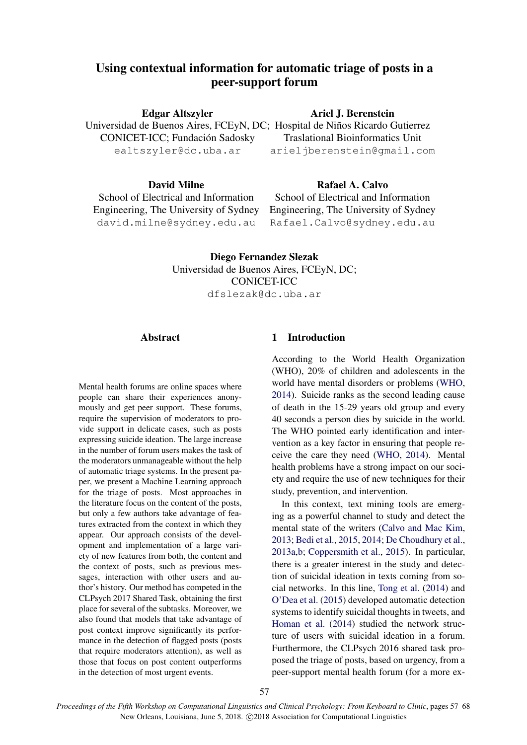# Using contextual information for automatic triage of posts in a peer-support forum

Edgar Altszyler CONICET-ICC; Fundación Sadosky

ealtszyler@dc.uba.ar

## David Milne

School of Electrical and Information Engineering, The University of Sydney david.milne@sydney.edu.au

## Ariel J. Berenstein

Universidad de Buenos Aires, FCEyN, DC; Hospital de Niños Ricardo Gutierrez Traslational Bioinformatics Unit arieljberenstein@gmail.com

# Rafael A. Calvo

School of Electrical and Information Engineering, The University of Sydney Rafael.Calvo@sydney.edu.au

Diego Fernandez Slezak Universidad de Buenos Aires, FCEyN, DC; CONICET-ICC dfslezak@dc.uba.ar

## Abstract

Mental health forums are online spaces where people can share their experiences anonymously and get peer support. These forums, require the supervision of moderators to provide support in delicate cases, such as posts expressing suicide ideation. The large increase in the number of forum users makes the task of the moderators unmanageable without the help of automatic triage systems. In the present paper, we present a Machine Learning approach for the triage of posts. Most approaches in the literature focus on the content of the posts, but only a few authors take advantage of features extracted from the context in which they appear. Our approach consists of the development and implementation of a large variety of new features from both, the content and the context of posts, such as previous messages, interaction with other users and author's history. Our method has competed in the CLPsych 2017 Shared Task, obtaining the first place for several of the subtasks. Moreover, we also found that models that take advantage of post context improve significantly its performance in the detection of flagged posts (posts that require moderators attention), as well as those that focus on post content outperforms in the detection of most urgent events.

## 1 Introduction

According to the World Health Organization (WHO), 20% of children and adolescents in the world have mental disorders or problems (WHO, 2014). Suicide ranks as the second leading cause of death in the 15-29 years old group and every 40 seconds a person dies by suicide in the world. The WHO pointed early identification and intervention as a key factor in ensuring that people receive the care they need (WHO, 2014). Mental health problems have a strong impact on our society and require the use of new techniques for their study, prevention, and intervention.

In this context, text mining tools are emerging as a powerful channel to study and detect the mental state of the writers (Calvo and Mac Kim, 2013; Bedi et al., 2015, 2014; De Choudhury et al., 2013a,b; Coppersmith et al., 2015). In particular, there is a greater interest in the study and detection of suicidal ideation in texts coming from social networks. In this line, Tong et al. (2014) and O'Dea et al. (2015) developed automatic detection systems to identify suicidal thoughts in tweets, and Homan et al. (2014) studied the network structure of users with suicidal ideation in a forum. Furthermore, the CLPsych 2016 shared task proposed the triage of posts, based on urgency, from a peer-support mental health forum (for a more ex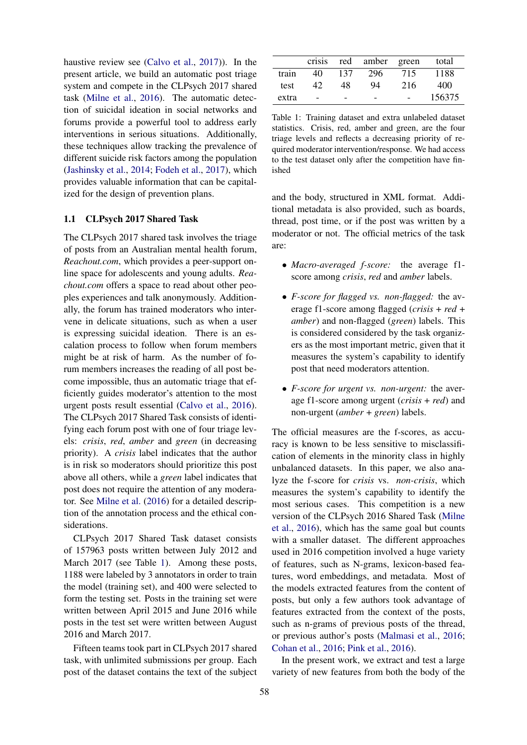haustive review see (Calvo et al., 2017)). In the present article, we build an automatic post triage system and compete in the CLPsych 2017 shared task (Milne et al., 2016). The automatic detection of suicidal ideation in social networks and forums provide a powerful tool to address early interventions in serious situations. Additionally, these techniques allow tracking the prevalence of different suicide risk factors among the population (Jashinsky et al., 2014; Fodeh et al., 2017), which provides valuable information that can be capitalized for the design of prevention plans.

#### 1.1 CLPsych 2017 Shared Task

The CLPsych 2017 shared task involves the triage of posts from an Australian mental health forum, *Reachout.com*, which provides a peer-support online space for adolescents and young adults. *Reachout.com* offers a space to read about other peoples experiences and talk anonymously. Additionally, the forum has trained moderators who intervene in delicate situations, such as when a user is expressing suicidal ideation. There is an escalation process to follow when forum members might be at risk of harm. As the number of forum members increases the reading of all post become impossible, thus an automatic triage that efficiently guides moderator's attention to the most urgent posts result essential (Calvo et al., 2016). The CLPsych 2017 Shared Task consists of identifying each forum post with one of four triage levels: *crisis*, *red*, *amber* and *green* (in decreasing priority). A *crisis* label indicates that the author is in risk so moderators should prioritize this post above all others, while a *green* label indicates that post does not require the attention of any moderator. See Milne et al. (2016) for a detailed description of the annotation process and the ethical considerations.

CLPsych 2017 Shared Task dataset consists of 157963 posts written between July 2012 and March 2017 (see Table 1). Among these posts, 1188 were labeled by 3 annotators in order to train the model (training set), and 400 were selected to form the testing set. Posts in the training set were written between April 2015 and June 2016 while posts in the test set were written between August 2016 and March 2017.

Fifteen teams took part in CLPsych 2017 shared task, with unlimited submissions per group. Each post of the dataset contains the text of the subject

|       | crisis |     | red amber green |     | total  |
|-------|--------|-----|-----------------|-----|--------|
| train | 40     | 137 | 296             | 715 | 1188   |
| test  | 42     | 48  | 94              | 216 | 400    |
| extra |        |     |                 |     | 156375 |

Table 1: Training dataset and extra unlabeled dataset statistics. Crisis, red, amber and green, are the four triage levels and reflects a decreasing priority of required moderator intervention/response. We had access to the test dataset only after the competition have finished

and the body, structured in XML format. Additional metadata is also provided, such as boards, thread, post time, or if the post was written by a moderator or not. The official metrics of the task are:

- *Macro-averaged f-score:* the average f1 score among *crisis*, *red* and *amber* labels.
- *F-score for flagged vs. non-flagged:* the average f1-score among flagged (*crisis* + *red* + *amber*) and non-flagged (*green*) labels. This is considered considered by the task organizers as the most important metric, given that it measures the system's capability to identify post that need moderators attention.
- *F-score for urgent vs. non-urgent:* the average f1-score among urgent (*crisis* + *red*) and non-urgent (*amber* + *green*) labels.

The official measures are the f-scores, as accuracy is known to be less sensitive to misclassification of elements in the minority class in highly unbalanced datasets. In this paper, we also analyze the f-score for *crisis* vs. *non-crisis*, which measures the system's capability to identify the most serious cases. This competition is a new version of the CLPsych 2016 Shared Task (Milne et al., 2016), which has the same goal but counts with a smaller dataset. The different approaches used in 2016 competition involved a huge variety of features, such as N-grams, lexicon-based features, word embeddings, and metadata. Most of the models extracted features from the content of posts, but only a few authors took advantage of features extracted from the context of the posts, such as n-grams of previous posts of the thread, or previous author's posts (Malmasi et al., 2016; Cohan et al., 2016; Pink et al., 2016).

In the present work, we extract and test a large variety of new features from both the body of the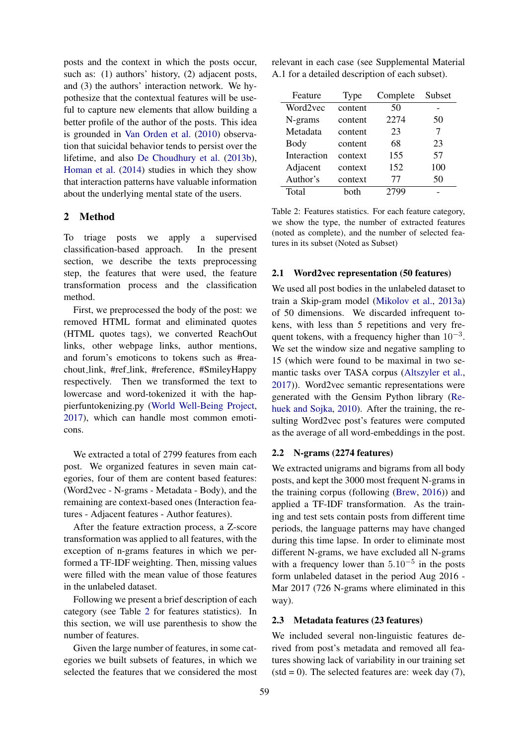posts and the context in which the posts occur, such as: (1) authors' history, (2) adjacent posts, and (3) the authors' interaction network. We hypothesize that the contextual features will be useful to capture new elements that allow building a better profile of the author of the posts. This idea is grounded in Van Orden et al. (2010) observation that suicidal behavior tends to persist over the lifetime, and also De Choudhury et al. (2013b), Homan et al. (2014) studies in which they show that interaction patterns have valuable information about the underlying mental state of the users.

## 2 Method

To triage posts we apply a supervised classification-based approach. In the present section, we describe the texts preprocessing step, the features that were used, the feature transformation process and the classification method.

First, we preprocessed the body of the post: we removed HTML format and eliminated quotes (HTML quotes tags), we converted ReachOut links, other webpage links, author mentions, and forum's emoticons to tokens such as #reachout link, #ref link, #reference, #SmileyHappy respectively. Then we transformed the text to lowercase and word-tokenized it with the happierfuntokenizing.py (World Well-Being Project, 2017), which can handle most common emoticons.

We extracted a total of 2799 features from each post. We organized features in seven main categories, four of them are content based features: (Word2vec - N-grams - Metadata - Body), and the remaining are context-based ones (Interaction features - Adjacent features - Author features).

After the feature extraction process, a Z-score transformation was applied to all features, with the exception of n-grams features in which we performed a TF-IDF weighting. Then, missing values were filled with the mean value of those features in the unlabeled dataset.

Following we present a brief description of each category (see Table 2 for features statistics). In this section, we will use parenthesis to show the number of features.

Given the large number of features, in some categories we built subsets of features, in which we selected the features that we considered the most

relevant in each case (see Supplemental Material A.1 for a detailed description of each subset).

| Feature     | Type    | Complete | Subset |
|-------------|---------|----------|--------|
| Word2vec    | content | 50       |        |
| N-grams     | content | 2274     | 50     |
| Metadata    | content | 23       | 7      |
| Body        | content | 68       | 23     |
| Interaction | context | 155      | 57     |
| Adjacent    | context | 152      | 100    |
| Author's    | context | 77       | 50     |
| Total       | hoth    | 2799     |        |

Table 2: Features statistics. For each feature category, we show the type, the number of extracted features (noted as complete), and the number of selected features in its subset (Noted as Subset)

#### 2.1 Word2vec representation (50 features)

We used all post bodies in the unlabeled dataset to train a Skip-gram model (Mikolov et al., 2013a) of 50 dimensions. We discarded infrequent tokens, with less than 5 repetitions and very frequent tokens, with a frequency higher than  $10^{-3}$ . We set the window size and negative sampling to 15 (which were found to be maximal in two semantic tasks over TASA corpus (Altszyler et al., 2017)). Word2vec semantic representations were generated with the Gensim Python library (Rehuek and Sojka, 2010). After the training, the resulting Word2vec post's features were computed as the average of all word-embeddings in the post.

## 2.2 N-grams (2274 features)

We extracted unigrams and bigrams from all body posts, and kept the 3000 most frequent N-grams in the training corpus (following (Brew, 2016)) and applied a TF-IDF transformation. As the training and test sets contain posts from different time periods, the language patterns may have changed during this time lapse. In order to eliminate most different N-grams, we have excluded all N-grams with a frequency lower than  $5.10^{-5}$  in the posts form unlabeled dataset in the period Aug 2016 - Mar 2017 (726 N-grams where eliminated in this way).

#### 2.3 Metadata features (23 features)

We included several non-linguistic features derived from post's metadata and removed all features showing lack of variability in our training set  $(\text{std} = 0)$ . The selected features are: week day (7),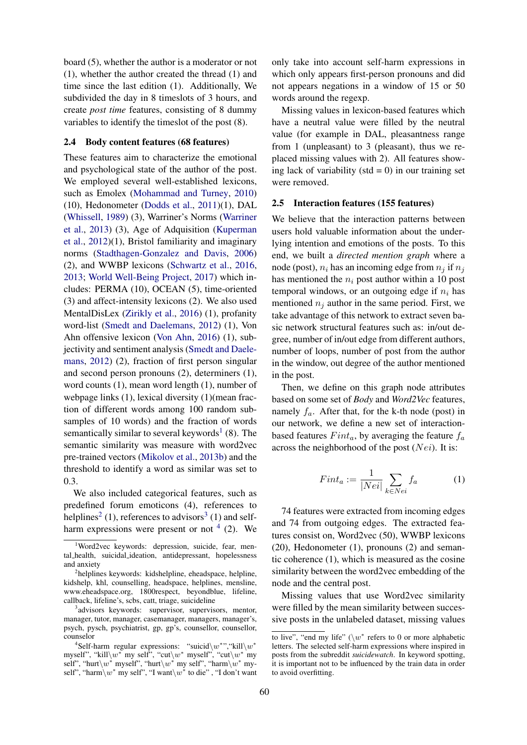board (5), whether the author is a moderator or not (1), whether the author created the thread (1) and time since the last edition (1). Additionally, We subdivided the day in 8 timeslots of 3 hours, and create *post time* features, consisting of 8 dummy variables to identify the timeslot of the post (8).

## 2.4 Body content features (68 features)

These features aim to characterize the emotional and psychological state of the author of the post. We employed several well-established lexicons, such as Emolex (Mohammad and Turney, 2010) (10), Hedonometer (Dodds et al., 2011)(1), DAL (Whissell, 1989) (3), Warriner's Norms (Warriner et al., 2013) (3), Age of Adquisition (Kuperman et al., 2012)(1), Bristol familiarity and imaginary norms (Stadthagen-Gonzalez and Davis, 2006) (2), and WWBP lexicons (Schwartz et al., 2016, 2013; World Well-Being Project, 2017) which includes: PERMA (10), OCEAN (5), time-oriented (3) and affect-intensity lexicons (2). We also used MentalDisLex (Zirikly et al., 2016) (1), profanity word-list (Smedt and Daelemans, 2012) (1), Von Ahn offensive lexicon (Von Ahn, 2016) (1), subjectivity and sentiment analysis (Smedt and Daelemans, 2012) (2), fraction of first person singular and second person pronouns (2), determiners (1), word counts (1), mean word length (1), number of webpage links (1), lexical diversity (1)(mean fraction of different words among 100 random subsamples of 10 words) and the fraction of words semantically similar to several keywords<sup>1</sup> (8). The semantic similarity was measure with word2vec pre-trained vectors (Mikolov et al., 2013b) and the threshold to identify a word as similar was set to 0.3.

We also included categorical features, such as predefined forum emoticons (4), references to helplines<sup>2</sup> (1), references to advisors<sup>3</sup> (1) and selfharm expressions were present or not  $4$  (2). We

only take into account self-harm expressions in which only appears first-person pronouns and did not appears negations in a window of 15 or 50 words around the regexp.

Missing values in lexicon-based features which have a neutral value were filled by the neutral value (for example in DAL, pleasantness range from 1 (unpleasant) to 3 (pleasant), thus we replaced missing values with 2). All features showing lack of variability ( $std = 0$ ) in our training set were removed.

#### 2.5 Interaction features (155 features)

We believe that the interaction patterns between users hold valuable information about the underlying intention and emotions of the posts. To this end, we built a *directed mention graph* where a node (post),  $n_i$  has an incoming edge from  $n_i$  if  $n_i$ has mentioned the  $n_i$  post author within a 10 post temporal windows, or an outgoing edge if  $n_i$  has mentioned  $n_i$  author in the same period. First, we take advantage of this network to extract seven basic network structural features such as: in/out degree, number of in/out edge from different authors, number of loops, number of post from the author in the window, out degree of the author mentioned in the post.

Then, we define on this graph node attributes based on some set of *Body* and *Word2Vec* features, namely  $f_a$ . After that, for the k-th node (post) in our network, we define a new set of interactionbased features  $Fint_a$ , by averaging the feature  $f_a$ across the neighborhood of the post  $(Nei)$ . It is:

$$
Fint_a := \frac{1}{|Nei|} \sum_{k \in Nei} f_a \tag{1}
$$

74 features were extracted from incoming edges and 74 from outgoing edges. The extracted features consist on, Word2vec (50), WWBP lexicons (20), Hedonometer (1), pronouns (2) and semantic coherence (1), which is measured as the cosine similarity between the word2vec embedding of the node and the central post.

Missing values that use Word2vec similarity were filled by the mean similarity between successive posts in the unlabeled dataset, missing values

<sup>&</sup>lt;sup>1</sup>Word2vec keywords: depression, suicide, fear, mental health, suicidal ideation, antidepressant, hopelessness and anxiety

<sup>&</sup>lt;sup>2</sup>helplines keywords: kidshelpline, eheadspace, helpline, kidshelp, khl, counselling, headspace, helplines, mensline, www.eheadspace.org, 1800respect, beyondblue, lifeline, callback, lifeline's, scbs, catt, triage, suicideline

<sup>&</sup>lt;sup>3</sup>advisors keywords: supervisor, supervisors, mentor, manager, tutor, manager, casemanager, managers, manager's, psych, pysch, psychiatrist, gp, gp's, counsellor, counsellor, counselor

<sup>&</sup>lt;sup>4</sup>Self-harm regular expressions: "suicid\w<sup>\*"</sup>, "kill\w<sup>\*</sup>" myself", "kill $\wedge^*$  my self", "cut $\wedge^*$  myself", "cut $\wedge^*$  my self", "hurt $\wedge w^*$  myself", "hurt $\wedge w^*$  my self", "harm $\wedge w^*$  myself", "harm $\setminus w^*$  my self", "I want $\setminus w^*$  to die" , "I don't want

to live", "end my life" ( $\wedge w^*$  refers to 0 or more alphabetic letters. The selected self-harm expressions where inspired in posts from the subreddit *suicidewatch*. In keyword spotting, it is important not to be influenced by the train data in order to avoid overfitting.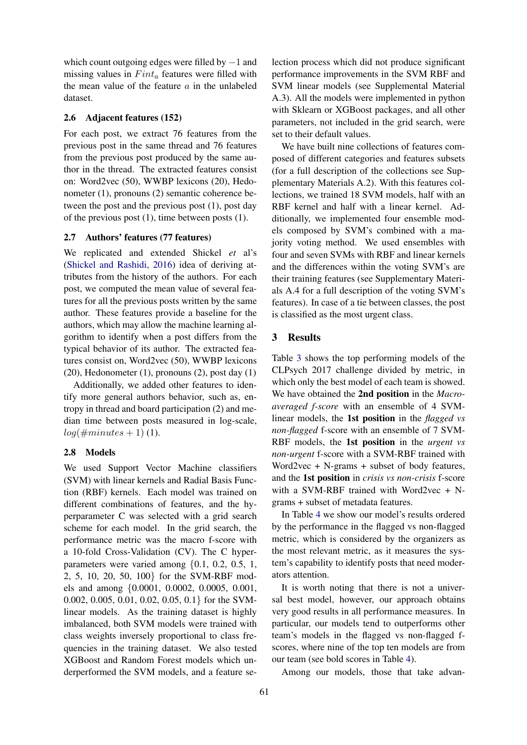which count outgoing edges were filled by −1 and missing values in  $Fint_a$  features were filled with the mean value of the feature  $a$  in the unlabeled dataset.

#### 2.6 Adjacent features (152)

For each post, we extract 76 features from the previous post in the same thread and 76 features from the previous post produced by the same author in the thread. The extracted features consist on: Word2vec (50), WWBP lexicons (20), Hedonometer (1), pronouns (2) semantic coherence between the post and the previous post (1), post day of the previous post (1), time between posts (1).

## 2.7 Authors' features (77 features)

We replicated and extended Shickel *et* al's (Shickel and Rashidi, 2016) idea of deriving attributes from the history of the authors. For each post, we computed the mean value of several features for all the previous posts written by the same author. These features provide a baseline for the authors, which may allow the machine learning algorithm to identify when a post differs from the typical behavior of its author. The extracted features consist on, Word2vec (50), WWBP lexicons  $(20)$ , Hedonometer  $(1)$ , pronouns  $(2)$ , post day  $(1)$ 

Additionally, we added other features to identify more general authors behavior, such as, entropy in thread and board participation (2) and median time between posts measured in log-scale,  $log(\#minutes + 1)$  (1).

## 2.8 Models

We used Support Vector Machine classifiers (SVM) with linear kernels and Radial Basis Function (RBF) kernels. Each model was trained on different combinations of features, and the hyperparameter C was selected with a grid search scheme for each model. In the grid search, the performance metric was the macro f-score with a 10-fold Cross-Validation (CV). The C hyperparameters were varied among {0.1, 0.2, 0.5, 1, 2, 5, 10, 20, 50, 100} for the SVM-RBF models and among {0.0001, 0.0002, 0.0005, 0.001, 0.002, 0.005, 0.01, 0.02, 0.05, 0.1} for the SVMlinear models. As the training dataset is highly imbalanced, both SVM models were trained with class weights inversely proportional to class frequencies in the training dataset. We also tested XGBoost and Random Forest models which underperformed the SVM models, and a feature se-

lection process which did not produce significant performance improvements in the SVM RBF and SVM linear models (see Supplemental Material A.3). All the models were implemented in python with Sklearn or XGBoost packages, and all other parameters, not included in the grid search, were set to their default values.

We have built nine collections of features composed of different categories and features subsets (for a full description of the collections see Supplementary Materials A.2). With this features collections, we trained 18 SVM models, half with an RBF kernel and half with a linear kernel. Additionally, we implemented four ensemble models composed by SVM's combined with a majority voting method. We used ensembles with four and seven SVMs with RBF and linear kernels and the differences within the voting SVM's are their training features (see Supplementary Materials A.4 for a full description of the voting SVM's features). In case of a tie between classes, the post is classified as the most urgent class.

#### 3 Results

Table 3 shows the top performing models of the CLPsych 2017 challenge divided by metric, in which only the best model of each team is showed. We have obtained the 2nd position in the *Macroaveraged f-score* with an ensemble of 4 SVMlinear models, the 1st position in the *flagged vs non-flagged* f-score with an ensemble of 7 SVM-RBF models, the 1st position in the *urgent vs non-urgent* f-score with a SVM-RBF trained with Word2vec + N-grams + subset of body features, and the 1st position in *crisis vs non-crisis* f-score with a SVM-RBF trained with Word2vec + Ngrams + subset of metadata features.

In Table 4 we show our model's results ordered by the performance in the flagged vs non-flagged metric, which is considered by the organizers as the most relevant metric, as it measures the system's capability to identify posts that need moderators attention.

It is worth noting that there is not a universal best model, however, our approach obtains very good results in all performance measures. In particular, our models tend to outperforms other team's models in the flagged vs non-flagged fscores, where nine of the top ten models are from our team (see bold scores in Table 4).

Among our models, those that take advan-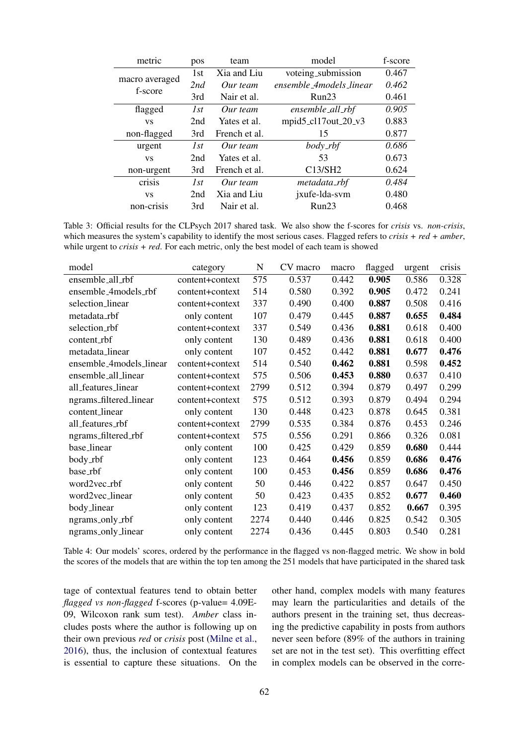| metric                           | pos | team          | model                   | f-score |
|----------------------------------|-----|---------------|-------------------------|---------|
|                                  | 1st | Xia and Liu   | voteing_submission      | 0.467   |
| macro averaged<br>f-score        | 2nd | Our team      | ensemble_4models_linear | 0.462   |
|                                  | 3rd | Nair et al.   | Run23                   | 0.461   |
| flagged                          | 1st | Our team      | ensemble_all_rbf        | 0.905   |
| <b>VS</b>                        | 2nd | Yates et al.  | mpid5_cl17out_20_v3     | 0.883   |
| non-flagged                      | 3rd | French et al. | 15                      | 0.877   |
| urgent                           | 1st | Our team      | $body\_rbf$             | 0.686   |
| <b>VS</b>                        | 2nd | Yates et al.  | 53                      | 0.673   |
| non-urgent                       | 3rd | French et al. | C13/SH2                 | 0.624   |
| crisis                           | 1st | Our team      | metadata_rbf            | 0.484   |
| <b>VS</b>                        | 2nd | Xia and Liu   | jxufe-lda-svm           | 0.480   |
| non-crisis<br>3rd<br>Nair et al. |     | Run23         | 0.468                   |         |

Table 3: Official results for the CLPsych 2017 shared task. We also show the f-scores for *crisis* vs. *non-crisis*, which measures the system's capability to identify the most serious cases. Flagged refers to *crisis + red + amber*, while urgent to *crisis* + *red*. For each metric, only the best model of each team is showed

| model                   | category        | N    | CV macro | macro | flagged | urgent | crisis |
|-------------------------|-----------------|------|----------|-------|---------|--------|--------|
| ensemble_all_rbf        | content+context | 575  | 0.537    | 0.442 | 0.905   | 0.586  | 0.328  |
| ensemble_4models_rbf    | content+context | 514  | 0.580    | 0.392 | 0.905   | 0.472  | 0.241  |
| selection_linear        | content+context | 337  | 0.490    | 0.400 | 0.887   | 0.508  | 0.416  |
| metadata_rbf            | only content    | 107  | 0.479    | 0.445 | 0.887   | 0.655  | 0.484  |
| selection_rbf           | content+context | 337  | 0.549    | 0.436 | 0.881   | 0.618  | 0.400  |
| content_rbf             | only content    | 130  | 0.489    | 0.436 | 0.881   | 0.618  | 0.400  |
| metadata_linear         | only content    | 107  | 0.452    | 0.442 | 0.881   | 0.677  | 0.476  |
| ensemble_4models_linear | content+context | 514  | 0.540    | 0.462 | 0.881   | 0.598  | 0.452  |
| ensemble_all_linear     | content+context | 575  | 0.506    | 0.453 | 0.880   | 0.637  | 0.410  |
| all_features_linear     | content+context | 2799 | 0.512    | 0.394 | 0.879   | 0.497  | 0.299  |
| ngrams_filtered_linear  | content+context | 575  | 0.512    | 0.393 | 0.879   | 0.494  | 0.294  |
| content_linear          | only content    | 130  | 0.448    | 0.423 | 0.878   | 0.645  | 0.381  |
| all_features_rbf        | content+context | 2799 | 0.535    | 0.384 | 0.876   | 0.453  | 0.246  |
| ngrams_filtered_rbf     | content+context | 575  | 0.556    | 0.291 | 0.866   | 0.326  | 0.081  |
| base_linear             | only content    | 100  | 0.425    | 0.429 | 0.859   | 0.680  | 0.444  |
| body_rbf                | only content    | 123  | 0.464    | 0.456 | 0.859   | 0.686  | 0.476  |
| base_rbf                | only content    | 100  | 0.453    | 0.456 | 0.859   | 0.686  | 0.476  |
| word2vec_rbf            | only content    | 50   | 0.446    | 0.422 | 0.857   | 0.647  | 0.450  |
| word2vec_linear         | only content    | 50   | 0.423    | 0.435 | 0.852   | 0.677  | 0.460  |
| body_linear             | only content    | 123  | 0.419    | 0.437 | 0.852   | 0.667  | 0.395  |
| ngrams_only_rbf         | only content    | 2274 | 0.440    | 0.446 | 0.825   | 0.542  | 0.305  |
| ngrams_only_linear      | only content    | 2274 | 0.436    | 0.445 | 0.803   | 0.540  | 0.281  |

Table 4: Our models' scores, ordered by the performance in the flagged vs non-flagged metric. We show in bold the scores of the models that are within the top ten among the 251 models that have participated in the shared task

tage of contextual features tend to obtain better *flagged vs non-flagged* f-scores (p-value= 4.09E-09, Wilcoxon rank sum test). *Amber* class includes posts where the author is following up on their own previous *red* or *crisis* post (Milne et al., 2016), thus, the inclusion of contextual features is essential to capture these situations. On the other hand, complex models with many features may learn the particularities and details of the authors present in the training set, thus decreasing the predictive capability in posts from authors never seen before (89% of the authors in training set are not in the test set). This overfitting effect in complex models can be observed in the corre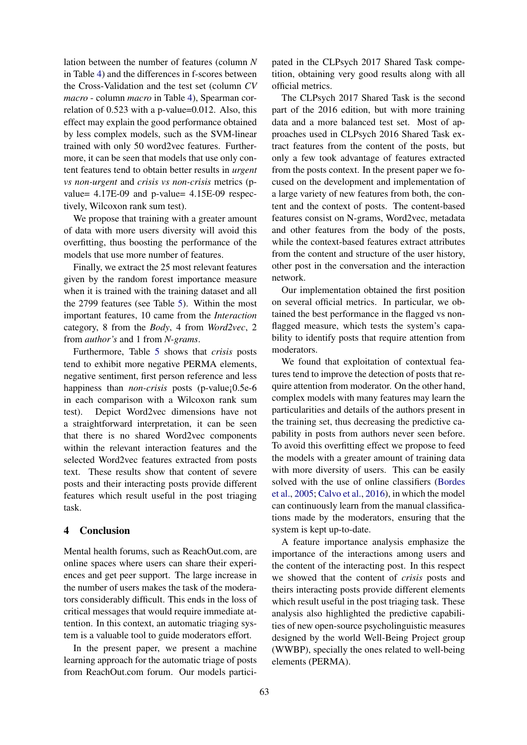lation between the number of features (column *N* in Table 4) and the differences in f-scores between the Cross-Validation and the test set (column *CV macro* - column *macro* in Table 4), Spearman correlation of 0.523 with a p-value=0.012. Also, this effect may explain the good performance obtained by less complex models, such as the SVM-linear trained with only 50 word2vec features. Furthermore, it can be seen that models that use only content features tend to obtain better results in *urgent vs non-urgent* and *crisis vs non-crisis* metrics (pvalue= 4.17E-09 and p-value= 4.15E-09 respectively, Wilcoxon rank sum test).

We propose that training with a greater amount of data with more users diversity will avoid this overfitting, thus boosting the performance of the models that use more number of features.

Finally, we extract the 25 most relevant features given by the random forest importance measure when it is trained with the training dataset and all the 2799 features (see Table 5). Within the most important features, 10 came from the *Interaction* category, 8 from the *Body*, 4 from *Word2vec*, 2 from *author's* and 1 from *N-grams*.

Furthermore, Table 5 shows that *crisis* posts tend to exhibit more negative PERMA elements, negative sentiment, first person reference and less happiness than *non-crisis* posts (p-value; 0.5e-6) in each comparison with a Wilcoxon rank sum test). Depict Word2vec dimensions have not a straightforward interpretation, it can be seen that there is no shared Word2vec components within the relevant interaction features and the selected Word2vec features extracted from posts text. These results show that content of severe posts and their interacting posts provide different features which result useful in the post triaging task.

## 4 Conclusion

Mental health forums, such as ReachOut.com, are online spaces where users can share their experiences and get peer support. The large increase in the number of users makes the task of the moderators considerably difficult. This ends in the loss of critical messages that would require immediate attention. In this context, an automatic triaging system is a valuable tool to guide moderators effort.

In the present paper, we present a machine learning approach for the automatic triage of posts from ReachOut.com forum. Our models participated in the CLPsych 2017 Shared Task competition, obtaining very good results along with all official metrics.

The CLPsych 2017 Shared Task is the second part of the 2016 edition, but with more training data and a more balanced test set. Most of approaches used in CLPsych 2016 Shared Task extract features from the content of the posts, but only a few took advantage of features extracted from the posts context. In the present paper we focused on the development and implementation of a large variety of new features from both, the content and the context of posts. The content-based features consist on N-grams, Word2vec, metadata and other features from the body of the posts, while the context-based features extract attributes from the content and structure of the user history, other post in the conversation and the interaction network.

Our implementation obtained the first position on several official metrics. In particular, we obtained the best performance in the flagged vs nonflagged measure, which tests the system's capability to identify posts that require attention from moderators.

We found that exploitation of contextual features tend to improve the detection of posts that require attention from moderator. On the other hand, complex models with many features may learn the particularities and details of the authors present in the training set, thus decreasing the predictive capability in posts from authors never seen before. To avoid this overfitting effect we propose to feed the models with a greater amount of training data with more diversity of users. This can be easily solved with the use of online classifiers (Bordes et al., 2005; Calvo et al., 2016), in which the model can continuously learn from the manual classifications made by the moderators, ensuring that the system is kept up-to-date.

A feature importance analysis emphasize the importance of the interactions among users and the content of the interacting post. In this respect we showed that the content of *crisis* posts and theirs interacting posts provide different elements which result useful in the post triaging task. These analysis also highlighted the predictive capabilities of new open-source psycholinguistic measures designed by the world Well-Being Project group (WWBP), specially the ones related to well-being elements (PERMA).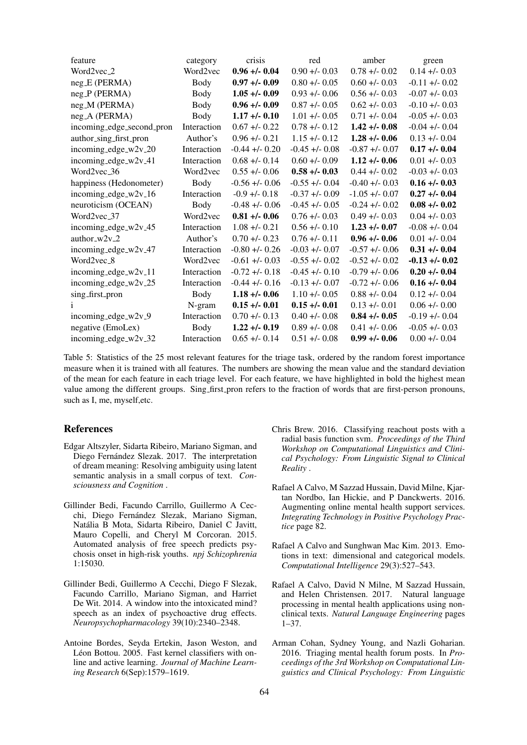| feature                   | category    | crisis            | red               | amber             | green             |
|---------------------------|-------------|-------------------|-------------------|-------------------|-------------------|
| Word $2$ vec $-2$         | Word2vec    | $0.96 + - 0.04$   | $0.90 + 0.03$     | $0.78 + 0.02$     | $0.14 + - 0.03$   |
| $neg.E$ (PERMA)           | Body        | $0.97 + -0.09$    | $0.80 + 0.05$     | $0.60 + 0.03$     | $-0.11 + (-0.02)$ |
| neg_P (PERMA)             | Body        | $1.05 + (-0.09)$  | $0.93 + 0.06$     | $0.56 + 0.03$     | $-0.07 + 0.03$    |
| neg_M (PERMA)             | Body        | $0.96 + -0.09$    | $0.87 + 0.05$     | $0.62 + 0.03$     | $-0.10 + 0.03$    |
| neg_A (PERMA)             | Body        | $1.17 + (-0.10)$  | $1.01 + 0.05$     | $0.71 + 0.04$     | $-0.05 + (-0.03)$ |
| incoming_edge_second_pron | Interaction | $0.67 + 0.22$     | $0.78 + 0.12$     | $1.42 + (-0.08)$  | $-0.04 + (-0.04)$ |
| author_sing_first_pron    | Author's    | $0.96 + 0.21$     | $1.15 + (-0.12)$  | $1.28 + (-0.06)$  | $0.13 + -0.04$    |
| incoming_edge_w2v_20      | Interaction | $-0.44 + (-0.20)$ | $-0.45 + (-0.08)$ | $-0.87 + -0.07$   | $0.17 + -0.04$    |
| incoming_edge_w2v_41      | Interaction | $0.68 + 0.14$     | $0.60 + 0.09$     | $1.12 + (-0.06)$  | $0.01 + -0.03$    |
| Word2vec_36               | Word2vec    | $0.55 + (-0.06)$  | $0.58 + (-0.03)$  | $0.44 + (-0.02)$  | $-0.03 + (-0.03)$ |
| happiness (Hedonometer)   | Body        | $-0.56 + 0.06$    | $-0.55 + (-0.04)$ | $-0.40 +/- 0.03$  | $0.16 + -0.03$    |
| incoming_edge_ $w2v_16$   | Interaction | $-0.9 + (-0.18)$  | $-0.37 + 0.09$    | $-1.05 + (-0.07)$ | $0.27 + 0.04$     |
| neuroticism (OCEAN)       | Body        | $-0.48 + 0.06$    | $-0.45 + (-0.05)$ | $-0.24 +1 - 0.02$ | $0.08 + 0.02$     |
| Word2vec <sub>-37</sub>   | Word2vec    | $0.81 + (-0.06)$  | $0.76 + 0.03$     | $0.49 + 0.03$     | $0.04 +/- 0.03$   |
| incoming_edge_ $w2v_45$   | Interaction | $1.08 + -0.21$    | $0.56 + (-0.10)$  | $1.23 + (-0.07)$  | $-0.08 + -0.04$   |
| author_w2v_2              | Author's    | $0.70 + 0.23$     | $0.76 + (-0.11)$  | $0.96 + 0.06$     | $0.01 + -0.04$    |
| incoming_edge_ $w2v_47$   | Interaction | $-0.80 + 0.26$    | $-0.03 + 0.07$    | $-0.57 + -0.06$   | $0.31 + (-0.04)$  |
| Word2vec <sub>-8</sub>    | Word2vec    | $-0.61 + (-0.03)$ | $-0.55 + (-0.02)$ | $-0.52 + -0.02$   | $-0.13 + (-0.02)$ |
| incoming_edge_ $w2v_111$  | Interaction | $-0.72 + (-0.18)$ | $-0.45 + (-0.10)$ | $-0.79 + -0.06$   | $0.20 + 0.04$     |
| incoming_edge_w2v_25      | Interaction | $-0.44 + (-0.16)$ | $-0.13 + (-0.07)$ | $-0.72 + 0.06$    | $0.16 + - 0.04$   |
| sing_first_pron           | Body        | $1.18 + (-0.06)$  | $1.10 + -0.05$    | $0.88 + 0.04$     | $0.12 + 0.04$     |
| 1                         | N-gram      | $0.15 + (-0.01)$  | $0.15 + (-0.01)$  | $0.13 + 0.01$     | $0.06 + - 0.00$   |
| incoming_edge_w2v_9       | Interaction | $0.70 + - 0.13$   | $0.40 + 0.08$     | $0.84 + (-0.05)$  | $-0.19 + -0.04$   |
| negative (EmoLex)         | Body        | $1.22 + (-0.19)$  | $0.89 + 0.08$     | $0.41 + 0.06$     | $-0.05 + (-0.03)$ |
| incoming_edge_ $w2v_32$   | Interaction | $0.65 + -0.14$    | $0.51 + 0.08$     | $0.99 + 0.06$     | $0.00 + 0.04$     |

Table 5: Statistics of the 25 most relevant features for the triage task, ordered by the random forest importance measure when it is trained with all features. The numbers are showing the mean value and the standard deviation of the mean for each feature in each triage level. For each feature, we have highlighted in bold the highest mean value among the different groups. Sing first pron refers to the fraction of words that are first-person pronouns, such as I, me, myself,etc.

## References

- Edgar Altszyler, Sidarta Ribeiro, Mariano Sigman, and Diego Fernández Slezak. 2017. The interpretation of dream meaning: Resolving ambiguity using latent semantic analysis in a small corpus of text. *Consciousness and Cognition* .
- Gillinder Bedi, Facundo Carrillo, Guillermo A Cecchi, Diego Fernández Slezak, Mariano Sigman, Natalia B Mota, Sidarta Ribeiro, Daniel C Javitt, ´ Mauro Copelli, and Cheryl M Corcoran. 2015. Automated analysis of free speech predicts psychosis onset in high-risk youths. *npj Schizophrenia* 1:15030.
- Gillinder Bedi, Guillermo A Cecchi, Diego F Slezak, Facundo Carrillo, Mariano Sigman, and Harriet De Wit. 2014. A window into the intoxicated mind? speech as an index of psychoactive drug effects. *Neuropsychopharmacology* 39(10):2340–2348.
- Antoine Bordes, Seyda Ertekin, Jason Weston, and Léon Bottou. 2005. Fast kernel classifiers with online and active learning. *Journal of Machine Learning Research* 6(Sep):1579–1619.
- Chris Brew. 2016. Classifying reachout posts with a radial basis function svm. *Proceedings of the Third Workshop on Computational Linguistics and Clinical Psychology: From Linguistic Signal to Clinical Reality* .
- Rafael A Calvo, M Sazzad Hussain, David Milne, Kjartan Nordbo, Ian Hickie, and P Danckwerts. 2016. Augmenting online mental health support services. *Integrating Technology in Positive Psychology Practice* page 82.
- Rafael A Calvo and Sunghwan Mac Kim. 2013. Emotions in text: dimensional and categorical models. *Computational Intelligence* 29(3):527–543.
- Rafael A Calvo, David N Milne, M Sazzad Hussain, and Helen Christensen. 2017. Natural language processing in mental health applications using nonclinical texts. *Natural Language Engineering* pages 1–37.
- Arman Cohan, Sydney Young, and Nazli Goharian. 2016. Triaging mental health forum posts. In *Proceedings of the 3rd Workshop on Computational Linguistics and Clinical Psychology: From Linguistic*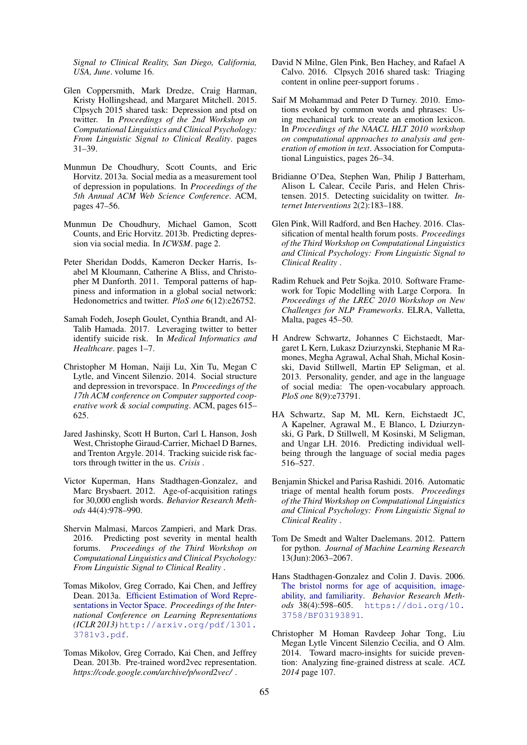*Signal to Clinical Reality, San Diego, California, USA, June*. volume 16.

- Glen Coppersmith, Mark Dredze, Craig Harman, Kristy Hollingshead, and Margaret Mitchell. 2015. Clpsych 2015 shared task: Depression and ptsd on twitter. In *Proceedings of the 2nd Workshop on Computational Linguistics and Clinical Psychology: From Linguistic Signal to Clinical Reality*. pages 31–39.
- Munmun De Choudhury, Scott Counts, and Eric Horvitz. 2013a. Social media as a measurement tool of depression in populations. In *Proceedings of the 5th Annual ACM Web Science Conference*. ACM, pages 47–56.
- Munmun De Choudhury, Michael Gamon, Scott Counts, and Eric Horvitz. 2013b. Predicting depression via social media. In *ICWSM*. page 2.
- Peter Sheridan Dodds, Kameron Decker Harris, Isabel M Kloumann, Catherine A Bliss, and Christopher M Danforth. 2011. Temporal patterns of happiness and information in a global social network: Hedonometrics and twitter. *PloS one* 6(12):e26752.
- Samah Fodeh, Joseph Goulet, Cynthia Brandt, and Al-Talib Hamada. 2017. Leveraging twitter to better identify suicide risk. In *Medical Informatics and Healthcare*. pages 1–7.
- Christopher M Homan, Naiji Lu, Xin Tu, Megan C Lytle, and Vincent Silenzio. 2014. Social structure and depression in trevorspace. In *Proceedings of the 17th ACM conference on Computer supported cooperative work & social computing*. ACM, pages 615– 625.
- Jared Jashinsky, Scott H Burton, Carl L Hanson, Josh West, Christophe Giraud-Carrier, Michael D Barnes, and Trenton Argyle. 2014. Tracking suicide risk factors through twitter in the us. *Crisis* .
- Victor Kuperman, Hans Stadthagen-Gonzalez, and Marc Brysbaert. 2012. Age-of-acquisition ratings for 30,000 english words. *Behavior Research Methods* 44(4):978–990.
- Shervin Malmasi, Marcos Zampieri, and Mark Dras. 2016. Predicting post severity in mental health forums. *Proceedings of the Third Workshop on Computational Linguistics and Clinical Psychology: From Linguistic Signal to Clinical Reality* .
- Tomas Mikolov, Greg Corrado, Kai Chen, and Jeffrey Dean. 2013a. Efficient Estimation of Word Representations in Vector Space. *Proceedings of the International Conference on Learning Representations (ICLR 2013)* http://arxiv.org/pdf/1301. 3781v3.pdf.
- Tomas Mikolov, Greg Corrado, Kai Chen, and Jeffrey Dean. 2013b. Pre-trained word2vec representation. *https://code.google.com/archive/p/word2vec/* .
- David N Milne, Glen Pink, Ben Hachey, and Rafael A Calvo. 2016. Clpsych 2016 shared task: Triaging content in online peer-support forums .
- Saif M Mohammad and Peter D Turney. 2010. Emotions evoked by common words and phrases: Using mechanical turk to create an emotion lexicon. In *Proceedings of the NAACL HLT 2010 workshop on computational approaches to analysis and generation of emotion in text*. Association for Computational Linguistics, pages 26–34.
- Bridianne O'Dea, Stephen Wan, Philip J Batterham, Alison L Calear, Cecile Paris, and Helen Christensen. 2015. Detecting suicidality on twitter. *Internet Interventions* 2(2):183–188.
- Glen Pink, Will Radford, and Ben Hachey. 2016. Classification of mental health forum posts. *Proceedings of the Third Workshop on Computational Linguistics and Clinical Psychology: From Linguistic Signal to Clinical Reality* .
- Radim Rehuek and Petr Sojka. 2010. Software Framework for Topic Modelling with Large Corpora. In *Proceedings of the LREC 2010 Workshop on New Challenges for NLP Frameworks*. ELRA, Valletta, Malta, pages 45–50.
- H Andrew Schwartz, Johannes C Eichstaedt, Margaret L Kern, Lukasz Dziurzynski, Stephanie M Ramones, Megha Agrawal, Achal Shah, Michal Kosinski, David Stillwell, Martin EP Seligman, et al. 2013. Personality, gender, and age in the language of social media: The open-vocabulary approach. *PloS one* 8(9):e73791.
- HA Schwartz, Sap M, ML Kern, Eichstaedt JC, A Kapelner, Agrawal M., E Blanco, L Dziurzynski, G Park, D Stillwell, M Kosinski, M Seligman, and Ungar LH. 2016. Predicting individual wellbeing through the language of social media pages 516–527.
- Benjamin Shickel and Parisa Rashidi. 2016. Automatic triage of mental health forum posts. *Proceedings of the Third Workshop on Computational Linguistics and Clinical Psychology: From Linguistic Signal to Clinical Reality* .
- Tom De Smedt and Walter Daelemans. 2012. Pattern for python. *Journal of Machine Learning Research* 13(Jun):2063–2067.
- Hans Stadthagen-Gonzalez and Colin J. Davis. 2006. The bristol norms for age of acquisition, imageability, and familiarity. *Behavior Research Methods* 38(4):598–605. https://doi.org/10. 3758/BF03193891.
- Christopher M Homan Ravdeep Johar Tong, Liu Megan Lytle Vincent Silenzio Cecilia, and O Alm. 2014. Toward macro-insights for suicide prevention: Analyzing fine-grained distress at scale. *ACL 2014* page 107.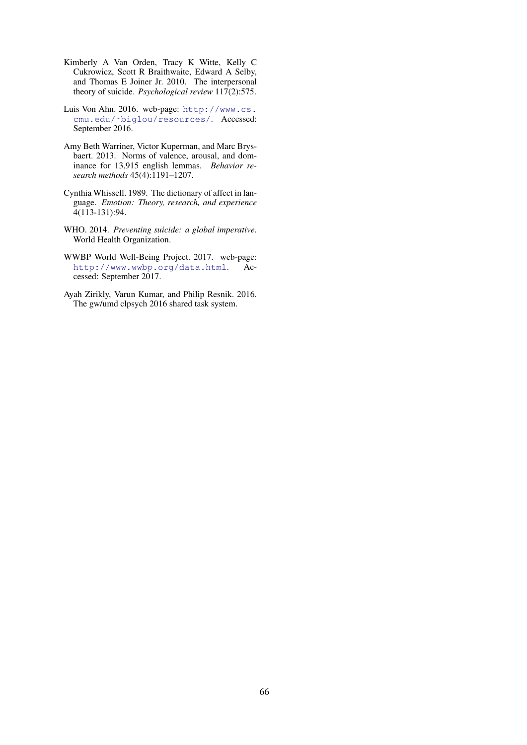- Kimberly A Van Orden, Tracy K Witte, Kelly C Cukrowicz, Scott R Braithwaite, Edward A Selby, and Thomas E Joiner Jr. 2010. The interpersonal theory of suicide. *Psychological review* 117(2):575.
- Luis Von Ahn. 2016. web-page: http://www.cs. cmu.edu/˜biglou/resources/. Accessed: September 2016.
- Amy Beth Warriner, Victor Kuperman, and Marc Brysbaert. 2013. Norms of valence, arousal, and dominance for 13,915 english lemmas. *Behavior research methods* 45(4):1191–1207.
- Cynthia Whissell. 1989. The dictionary of affect in language. *Emotion: Theory, research, and experience* 4(113-131):94.
- WHO. 2014. *Preventing suicide: a global imperative*. World Health Organization.
- WWBP World Well-Being Project. 2017. web-page: http://www.wwbp.org/data.html. Accessed: September 2017.
- Ayah Zirikly, Varun Kumar, and Philip Resnik. 2016. The gw/umd clpsych 2016 shared task system.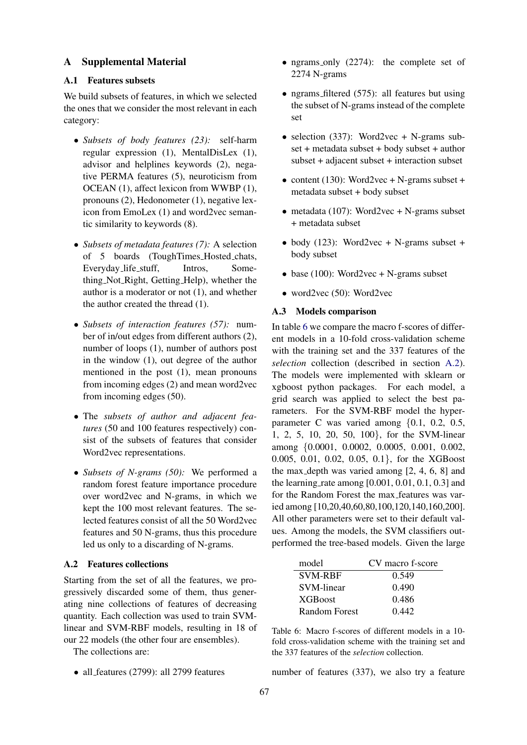## A Supplemental Material

## A.1 Features subsets

We build subsets of features, in which we selected the ones that we consider the most relevant in each category:

- *Subsets of body features (23):* self-harm regular expression (1), MentalDisLex (1), advisor and helplines keywords (2), negative PERMA features (5), neuroticism from OCEAN (1), affect lexicon from WWBP (1), pronouns (2), Hedonometer (1), negative lexicon from EmoLex (1) and word2vec semantic similarity to keywords (8).
- *Subsets of metadata features (7):* A selection of 5 boards (ToughTimes Hosted chats, Everyday life stuff, Intros, Something Not Right, Getting Help), whether the author is a moderator or not (1), and whether the author created the thread (1).
- *Subsets of interaction features (57):* number of in/out edges from different authors (2), number of loops (1), number of authors post in the window (1), out degree of the author mentioned in the post (1), mean pronouns from incoming edges (2) and mean word2vec from incoming edges (50).
- The *subsets of author and adjacent features* (50 and 100 features respectively) consist of the subsets of features that consider Word2vec representations.
- *Subsets of N-grams (50):* We performed a random forest feature importance procedure over word2vec and N-grams, in which we kept the 100 most relevant features. The selected features consist of all the 50 Word2vec features and 50 N-grams, thus this procedure led us only to a discarding of N-grams.

## A.2 Features collections

Starting from the set of all the features, we progressively discarded some of them, thus generating nine collections of features of decreasing quantity. Each collection was used to train SVMlinear and SVM-RBF models, resulting in 18 of our 22 models (the other four are ensembles).

The collections are:

• all features (2799): all 2799 features

- ngrams\_only (2274): the complete set of 2274 N-grams
- ngrams filtered (575): all features but using the subset of N-grams instead of the complete set
- selection (337): Word2vec + N-grams subset + metadata subset + body subset + author subset + adjacent subset + interaction subset
- content (130): Word2vec + N-grams subset + metadata subset + body subset
- metadata (107): Word2vec + N-grams subset + metadata subset
- body (123): Word2vec + N-grams subset + body subset
- base (100): Word2vec + N-grams subset
- word2vec (50): Word2vec

## A.3 Models comparison

In table 6 we compare the macro f-scores of different models in a 10-fold cross-validation scheme with the training set and the 337 features of the *selection* collection (described in section A.2). The models were implemented with sklearn or xgboost python packages. For each model, a grid search was applied to select the best parameters. For the SVM-RBF model the hyperparameter C was varied among {0.1, 0.2, 0.5, 1, 2, 5, 10, 20, 50, 100}, for the SVM-linear among {0.0001, 0.0002, 0.0005, 0.001, 0.002, 0.005, 0.01, 0.02, 0.05, 0.1}, for the XGBoost the max depth was varied among [2, 4, 6, 8] and the learning rate among  $[0.001, 0.01, 0.1, 0.3]$  and for the Random Forest the max features was varied among [10,20,40,60,80,100,120,140,160,200]. All other parameters were set to their default values. Among the models, the SVM classifiers outperformed the tree-based models. Given the large

| model           | CV macro f-score |
|-----------------|------------------|
| <b>SVM-RBF</b>  | 0.549            |
| SVM-linear      | 0.490            |
| <b>XGB</b> oost | 0.486            |
| Random Forest   | 0.442            |

Table 6: Macro f-scores of different models in a 10 fold cross-validation scheme with the training set and the 337 features of the *selection* collection.

number of features (337), we also try a feature